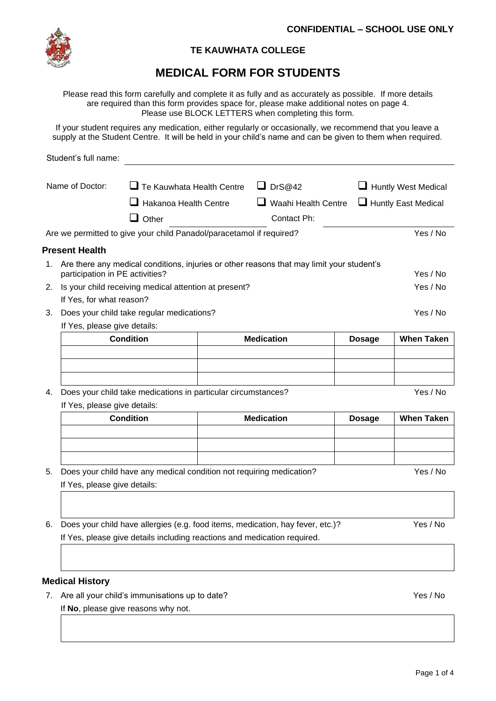

## **TE KAUWHATA COLLEGE**

# **MEDICAL FORM FOR STUDENTS**

Please read this form carefully and complete it as fully and as accurately as possible. If more details are required than this form provides space for, please make additional notes on page 4. Please use BLOCK LETTERS when completing this form.

If your student requires any medication, either regularly or occasionally, we recommend that you leave a supply at the Student Centre. It will be held in your child's name and can be given to them when required.

|    | Student's full name:                                                      |                                                                      |  |                                                                                           |               |                            |  |  |  |
|----|---------------------------------------------------------------------------|----------------------------------------------------------------------|--|-------------------------------------------------------------------------------------------|---------------|----------------------------|--|--|--|
|    | Name of Doctor:                                                           | $\Box$ Te Kauwhata Health Centre                                     |  | $\Box$ DrS@42                                                                             |               | Huntly West Medical        |  |  |  |
|    | $\Box$ Hakanoa Health Centre                                              |                                                                      |  | $\Box$ Waahi Health Centre                                                                |               |                            |  |  |  |
|    |                                                                           |                                                                      |  |                                                                                           |               | $\Box$ Huntly East Medical |  |  |  |
|    |                                                                           | $\Box$ Other                                                         |  | Contact Ph:                                                                               |               |                            |  |  |  |
|    |                                                                           | Are we permitted to give your child Panadol/paracetamol if required? |  |                                                                                           |               | Yes / No                   |  |  |  |
|    | <b>Present Health</b>                                                     |                                                                      |  |                                                                                           |               |                            |  |  |  |
| 1. | participation in PE activities?                                           |                                                                      |  | Are there any medical conditions, injuries or other reasons that may limit your student's |               | Yes / No                   |  |  |  |
| 2. |                                                                           | Is your child receiving medical attention at present?                |  |                                                                                           |               | Yes / No                   |  |  |  |
|    | If Yes, for what reason?                                                  |                                                                      |  |                                                                                           |               |                            |  |  |  |
| 3. |                                                                           | Does your child take regular medications?                            |  |                                                                                           |               | Yes / No                   |  |  |  |
|    |                                                                           | If Yes, please give details:                                         |  |                                                                                           |               |                            |  |  |  |
|    |                                                                           | <b>Condition</b>                                                     |  | <b>Medication</b>                                                                         | <b>Dosage</b> | <b>When Taken</b>          |  |  |  |
|    |                                                                           |                                                                      |  |                                                                                           |               |                            |  |  |  |
|    |                                                                           |                                                                      |  |                                                                                           |               |                            |  |  |  |
|    |                                                                           |                                                                      |  |                                                                                           |               |                            |  |  |  |
| 4. | Yes / No<br>Does your child take medications in particular circumstances? |                                                                      |  |                                                                                           |               |                            |  |  |  |
|    | If Yes, please give details:                                              | <b>Condition</b>                                                     |  | <b>Medication</b>                                                                         |               | <b>When Taken</b>          |  |  |  |
|    |                                                                           |                                                                      |  |                                                                                           | <b>Dosage</b> |                            |  |  |  |
|    |                                                                           |                                                                      |  |                                                                                           |               |                            |  |  |  |
|    |                                                                           |                                                                      |  |                                                                                           |               |                            |  |  |  |
| 5. |                                                                           | Does your child have any medical condition not requiring medication? |  |                                                                                           |               | Yes / No                   |  |  |  |
|    | If Yes, please give details:                                              |                                                                      |  |                                                                                           |               |                            |  |  |  |
|    |                                                                           |                                                                      |  |                                                                                           |               |                            |  |  |  |
|    |                                                                           |                                                                      |  |                                                                                           |               |                            |  |  |  |
| 6. |                                                                           |                                                                      |  | Does your child have allergies (e.g. food items, medication, hay fever, etc.)?            |               | Yes / No                   |  |  |  |
|    | If Yes, please give details including reactions and medication required.  |                                                                      |  |                                                                                           |               |                            |  |  |  |
|    |                                                                           |                                                                      |  |                                                                                           |               |                            |  |  |  |
|    |                                                                           |                                                                      |  |                                                                                           |               |                            |  |  |  |
|    | <b>Medical History</b>                                                    |                                                                      |  |                                                                                           |               |                            |  |  |  |

7. Are all your child's immunisations up to date? The same state of the state of the Yes / No If **No**, please give reasons why not.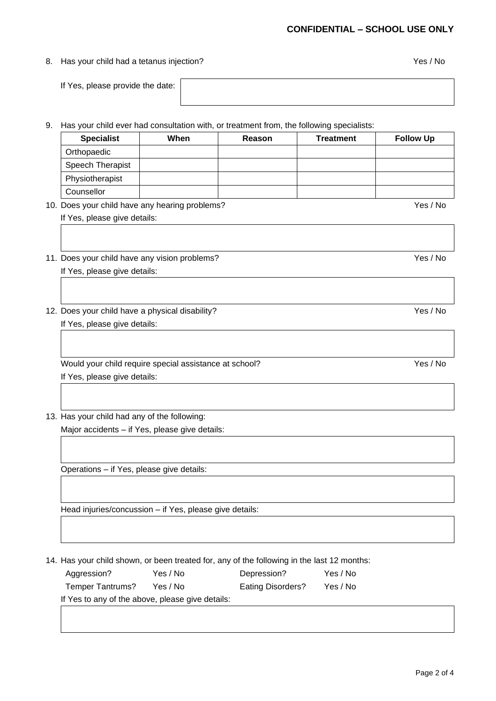#### **CONFIDENTIAL – SCHOOL USE ONLY**

#### 8. Has your child had a tetanus injection? The set of the set of the set of the Yes / No

If Yes, please provide the date:

9. Has your child ever had consultation with, or treatment from, the following specialists:

| <b>Specialist</b> | When | Reason | <b>Treatment</b> | <b>Follow Up</b> |
|-------------------|------|--------|------------------|------------------|
| Orthopaedic       |      |        |                  |                  |
| Speech Therapist  |      |        |                  |                  |
| Physiotherapist   |      |        |                  |                  |
| Counsellor        |      |        |                  |                  |

10. Does your child have any hearing problems? The state of the state of the Yes / No If Yes, please give details:

11. Does your child have any vision problems? The state of the state of the Yes / No If Yes, please give details:

12. Does your child have a physical disability? The state of the state of the Yes / No If Yes, please give details:

Would your child require special assistance at school? Ves / No If Yes, please give details:

### 13. Has your child had any of the following:

Major accidents – if Yes, please give details:

Operations – if Yes, please give details:

Head injuries/concussion – if Yes, please give details:

14. Has your child shown, or been treated for, any of the following in the last 12 months:

| Aggression?                                      | Yes / No | Depression?       | Yes / No |  |
|--------------------------------------------------|----------|-------------------|----------|--|
| Temper Tantrums?                                 | Yes / No | Eating Disorders? | Yes / No |  |
| If Yes to any of the above, please give details: |          |                   |          |  |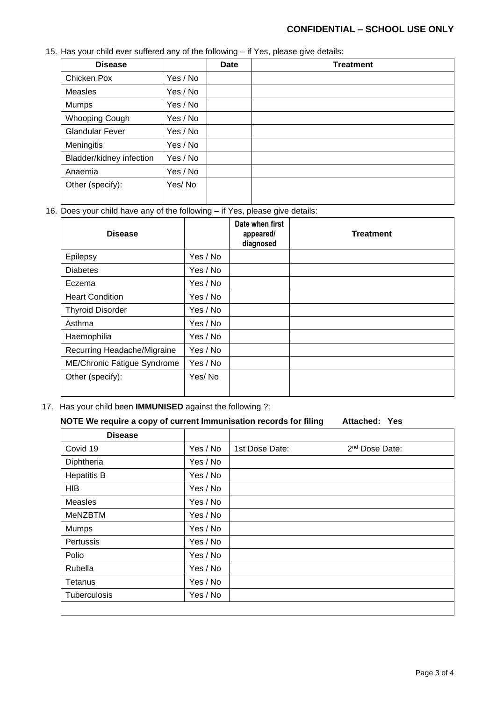### **CONFIDENTIAL – SCHOOL USE ONLY**

15. Has your child ever suffered any of the following – if Yes, please give details:

| <b>Disease</b>           |          | Date | <b>Treatment</b> |
|--------------------------|----------|------|------------------|
| Chicken Pox              | Yes / No |      |                  |
| Measles                  | Yes / No |      |                  |
| Mumps                    | Yes / No |      |                  |
| <b>Whooping Cough</b>    | Yes / No |      |                  |
| <b>Glandular Fever</b>   | Yes / No |      |                  |
| Meningitis               | Yes / No |      |                  |
| Bladder/kidney infection | Yes / No |      |                  |
| Anaemia                  | Yes / No |      |                  |
| Other (specify):         | Yes/No   |      |                  |

16. Does your child have any of the following – if Yes, please give details:

| <b>Disease</b>              |          | Date when first<br>appeared/<br>diagnosed | <b>Treatment</b> |
|-----------------------------|----------|-------------------------------------------|------------------|
| Epilepsy                    | Yes / No |                                           |                  |
| <b>Diabetes</b>             | Yes / No |                                           |                  |
| Eczema                      | Yes / No |                                           |                  |
| <b>Heart Condition</b>      | Yes / No |                                           |                  |
| <b>Thyroid Disorder</b>     | Yes / No |                                           |                  |
| Asthma                      | Yes / No |                                           |                  |
| Haemophilia                 | Yes / No |                                           |                  |
| Recurring Headache/Migraine | Yes / No |                                           |                  |
| ME/Chronic Fatigue Syndrome | Yes / No |                                           |                  |
| Other (specify):            | Yes/No   |                                           |                  |

17. Has your child been **IMMUNISED** against the following ?:

#### **NOTE We require a copy of current Immunisation records for filing Attached: Yes**

| <b>Disease</b>     |          |                |                            |
|--------------------|----------|----------------|----------------------------|
| Covid 19           | Yes / No | 1st Dose Date: | 2 <sup>nd</sup> Dose Date: |
| Diphtheria         | Yes / No |                |                            |
| <b>Hepatitis B</b> | Yes / No |                |                            |
| <b>HIB</b>         | Yes / No |                |                            |
| Measles            | Yes / No |                |                            |
| <b>MeNZBTM</b>     | Yes / No |                |                            |
| Mumps              | Yes / No |                |                            |
| Pertussis          | Yes / No |                |                            |
| Polio              | Yes / No |                |                            |
| Rubella            | Yes / No |                |                            |
| Tetanus            | Yes / No |                |                            |
| Tuberculosis       | Yes / No |                |                            |
|                    |          |                |                            |